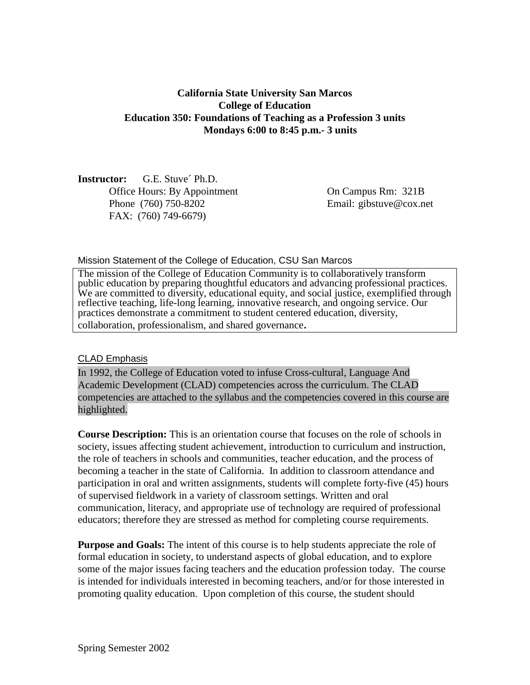## **California State University San Marcos College of Education Education 350: Foundations of Teaching as a Profession 3 units Mondays 6:00 to 8:45 p.m.- 3 units**

**Instructor:** G.E. Stuve´ Ph.D. Office Hours: By Appointment On Campus Rm: 321B Phone (760) 750-8202 Email: gibstuve@cox.net FAX: (760) 749-6679)

Mission Statement of the College of Education, CSU San Marcos

The mission of the College of Education Community is to collaboratively transform public education by preparing thoughtful educators and advancing professional practices. We are committed to diversity, educational equity, and social justice, exemplified through reflective teaching, life-long learning, innovative research, and ongoing service. Our practices demonstrate a commitment to student centered education, diversity, collaboration, professionalism, and shared governance.

#### CLAD Emphasis

In 1992, the College of Education voted to infuse Cross-cultural, Language And Academic Development (CLAD) competencies across the curriculum. The CLAD competencies are attached to the syllabus and the competencies covered in this course are highlighted.

**Course Description:** This is an orientation course that focuses on the role of schools in society, issues affecting student achievement, introduction to curriculum and instruction, the role of teachers in schools and communities, teacher education, and the process of becoming a teacher in the state of California. In addition to classroom attendance and participation in oral and written assignments, students will complete forty-five (45) hours of supervised fieldwork in a variety of classroom settings. Written and oral communication, literacy, and appropriate use of technology are required of professional educators; therefore they are stressed as method for completing course requirements.

**Purpose and Goals:** The intent of this course is to help students appreciate the role of formal education in society, to understand aspects of global education, and to explore some of the major issues facing teachers and the education profession today. The course is intended for individuals interested in becoming teachers, and/or for those interested in promoting quality education. Upon completion of this course, the student should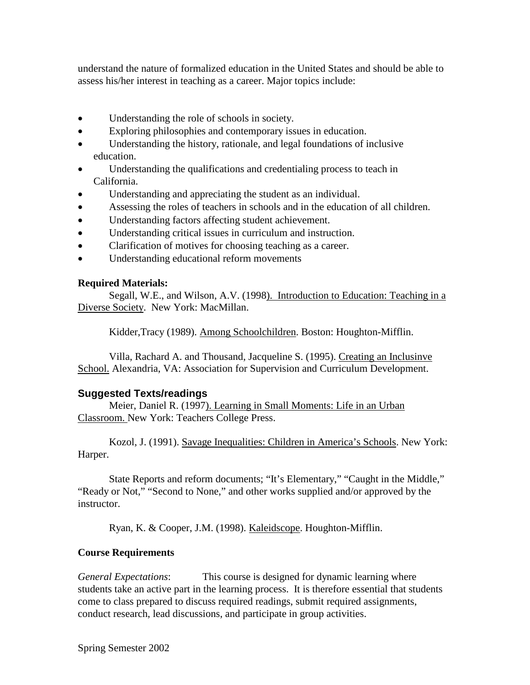understand the nature of formalized education in the United States and should be able to assess his/her interest in teaching as a career. Major topics include:

- Understanding the role of schools in society.
- Exploring philosophies and contemporary issues in education.
- Understanding the history, rationale, and legal foundations of inclusive education.
- Understanding the qualifications and credentialing process to teach in California.
- Understanding and appreciating the student as an individual.
- Assessing the roles of teachers in schools and in the education of all children.
- Understanding factors affecting student achievement.
- Understanding critical issues in curriculum and instruction.
- Clarification of motives for choosing teaching as a career.
- Understanding educational reform movements

#### **Required Materials:**

Segall, W.E., and Wilson, A.V. (1998). Introduction to Education: Teaching in a Diverse Society. New York: MacMillan.

Kidder,Tracy (1989). Among Schoolchildren. Boston: Houghton-Mifflin.

Villa, Rachard A. and Thousand, Jacqueline S. (1995). Creating an Inclusinve School. Alexandria, VA: Association for Supervision and Curriculum Development.

### **Suggested Texts/readings**

Meier, Daniel R. (1997). Learning in Small Moments: Life in an Urban Classroom. New York: Teachers College Press.

Kozol, J. (1991). Savage Inequalities: Children in America's Schools. New York: Harper.

State Reports and reform documents; "It's Elementary," "Caught in the Middle," "Ready or Not," "Second to None," and other works supplied and/or approved by the instructor.

Ryan, K. & Cooper, J.M. (1998). Kaleidscope. Houghton-Mifflin.

### **Course Requirements**

*General Expectations*: This course is designed for dynamic learning where students take an active part in the learning process. It is therefore essential that students come to class prepared to discuss required readings, submit required assignments, conduct research, lead discussions, and participate in group activities.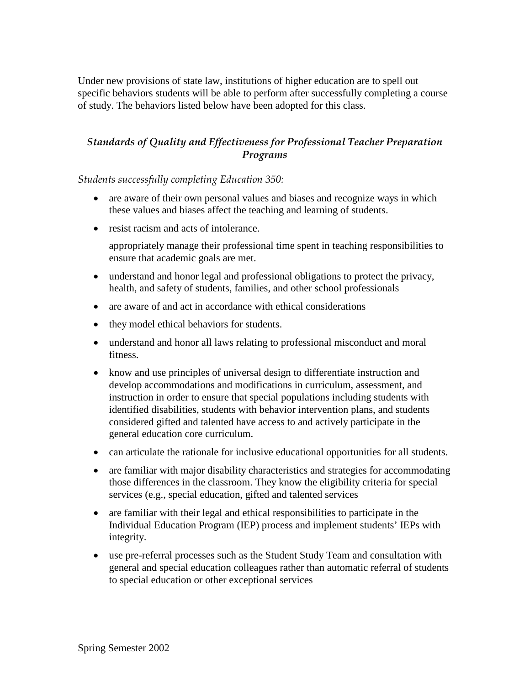Under new provisions of state law, institutions of higher education are to spell out specific behaviors students will be able to perform after successfully completing a course of study. The behaviors listed below have been adopted for this class.

# *Standards of Quality and Effectiveness for Professional Teacher Preparation Programs*

*Students successfully completing Education 350:*

- are aware of their own personal values and biases and recognize ways in which these values and biases affect the teaching and learning of students.
- resist racism and acts of intolerance.

appropriately manage their professional time spent in teaching responsibilities to ensure that academic goals are met.

- understand and honor legal and professional obligations to protect the privacy, health, and safety of students, families, and other school professionals
- are aware of and act in accordance with ethical considerations
- they model ethical behaviors for students.
- understand and honor all laws relating to professional misconduct and moral fitness.
- know and use principles of universal design to differentiate instruction and develop accommodations and modifications in curriculum, assessment, and instruction in order to ensure that special populations including students with identified disabilities, students with behavior intervention plans, and students considered gifted and talented have access to and actively participate in the general education core curriculum.
- can articulate the rationale for inclusive educational opportunities for all students.
- are familiar with major disability characteristics and strategies for accommodating those differences in the classroom. They know the eligibility criteria for special services (e.g., special education, gifted and talented services
- are familiar with their legal and ethical responsibilities to participate in the Individual Education Program (IEP) process and implement students' IEPs with integrity.
- use pre-referral processes such as the Student Study Team and consultation with general and special education colleagues rather than automatic referral of students to special education or other exceptional services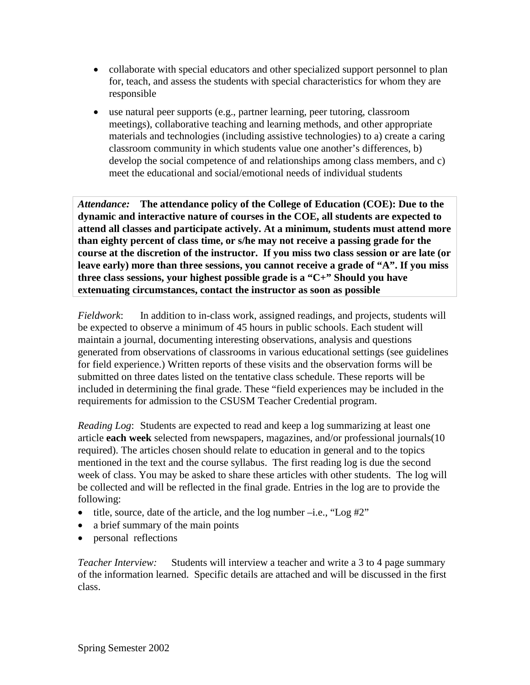- collaborate with special educators and other specialized support personnel to plan for, teach, and assess the students with special characteristics for whom they are responsible
- use natural peer supports (e.g., partner learning, peer tutoring, classroom meetings), collaborative teaching and learning methods, and other appropriate materials and technologies (including assistive technologies) to a) create a caring classroom community in which students value one another's differences, b) develop the social competence of and relationships among class members, and c) meet the educational and social/emotional needs of individual students

*Attendance:* **The attendance policy of the College of Education (COE): Due to the dynamic and interactive nature of courses in the COE, all students are expected to attend all classes and participate actively. At a minimum, students must attend more than eighty percent of class time, or s/he may not receive a passing grade for the course at the discretion of the instructor. If you miss two class session or are late (or leave early) more than three sessions, you cannot receive a grade of "A". If you miss three class sessions, your highest possible grade is a "C+" Should you have extenuating circumstances, contact the instructor as soon as possible**

*Fieldwork*: In addition to in-class work, assigned readings, and projects, students will be expected to observe a minimum of 45 hours in public schools. Each student will maintain a journal, documenting interesting observations, analysis and questions generated from observations of classrooms in various educational settings (see guidelines for field experience.) Written reports of these visits and the observation forms will be submitted on three dates listed on the tentative class schedule. These reports will be included in determining the final grade. These "field experiences may be included in the requirements for admission to the CSUSM Teacher Credential program.

*Reading Log*: Students are expected to read and keep a log summarizing at least one article **each week** selected from newspapers, magazines, and/or professional journals(10 required). The articles chosen should relate to education in general and to the topics mentioned in the text and the course syllabus. The first reading log is due the second week of class. You may be asked to share these articles with other students. The log will be collected and will be reflected in the final grade. Entries in the log are to provide the following:

- title, source, date of the article, and the log number  $-i.e.,$  "Log  $\#2"$ "
- a brief summary of the main points
- personal reflections

*Teacher Interview:* Students will interview a teacher and write a 3 to 4 page summary of the information learned. Specific details are attached and will be discussed in the first class.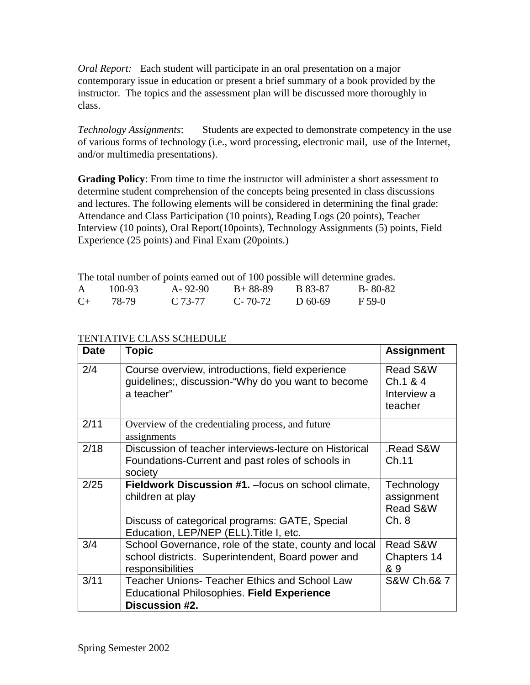*Oral Report:* Each student will participate in an oral presentation on a major contemporary issue in education or present a brief summary of a book provided by the instructor. The topics and the assessment plan will be discussed more thoroughly in class.

*Technology Assignments*: Students are expected to demonstrate competency in the use of various forms of technology (i.e., word processing, electronic mail, use of the Internet, and/or multimedia presentations).

**Grading Policy**: From time to time the instructor will administer a short assessment to determine student comprehension of the concepts being presented in class discussions and lectures. The following elements will be considered in determining the final grade: Attendance and Class Participation (10 points), Reading Logs (20 points), Teacher Interview (10 points), Oral Report(10points), Technology Assignments (5) points, Field Experience (25 points) and Final Exam (20points.)

The total number of points earned out of 100 possible will determine grades.

|         | 100-93 | A-92-90 | $B+88-89$     | B 83-87   | $B - 80 - 82$ |
|---------|--------|---------|---------------|-----------|---------------|
| $C_{+}$ | 78-79  | C 73-77 | $C - 70 - 72$ | D $60-69$ | $F$ 59-0      |

## TENTATIVE CLASS SCHEDULE

| <b>Date</b> | <b>Topic</b>                                                                                                                                                         | <b>Assignment</b>                                         |
|-------------|----------------------------------------------------------------------------------------------------------------------------------------------------------------------|-----------------------------------------------------------|
| 2/4         | Course overview, introductions, field experience<br>guidelines;, discussion-"Why do you want to become<br>a teacher"                                                 | <b>Read S&amp;W</b><br>Ch.1 & 4<br>Interview a<br>teacher |
| 2/11        | Overview of the credentialing process, and future<br>assignments                                                                                                     |                                                           |
| 2/18        | Discussion of teacher interviews-lecture on Historical<br>Foundations-Current and past roles of schools in<br>society                                                | Read S&W.<br>Ch.11                                        |
| 2/25        | Fieldwork Discussion #1. - focus on school climate,<br>children at play<br>Discuss of categorical programs: GATE, Special<br>Education, LEP/NEP (ELL). Title I, etc. | Technology<br>assignment<br><b>Read S&amp;W</b><br>Ch.8   |
| 3/4         | School Governance, role of the state, county and local<br>school districts. Superintendent, Board power and<br>responsibilities                                      | Read S&W<br>Chapters 14<br>& 9                            |
| 3/11        | <b>Teacher Unions- Teacher Ethics and School Law</b><br><b>Educational Philosophies. Field Experience</b><br>Discussion #2.                                          | S&W Ch.6& 7                                               |